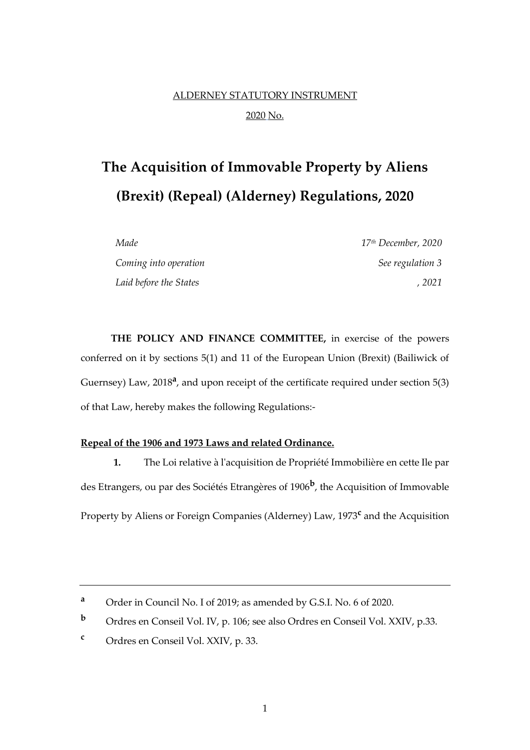# ALDERNEY STATUTORY INSTRUMENT 2020 No.

# **The Acquisition of Immovable Property by Aliens (Brexit) (Repeal) (Alderney) Regulations, 2020**

| Made                   | $17th$ December, 2020 |
|------------------------|-----------------------|
| Coming into operation  | See regulation 3      |
| Laid before the States | . 2021                |

**THE POLICY AND FINANCE COMMITTEE,** in exercise of the powers conferred on it by sections 5(1) and 11 of the European Union (Brexit) (Bailiwick of Guernsey) Law, 2018<sup>a</sup>, and upon receipt of the certificate required under section 5(3) of that Law, hereby makes the following Regulations:-

#### **Repeal of the 1906 and 1973 Laws and related Ordinance.**

**1.** The Loi relative à l'acquisition de Propriété Immobilière en cette Ile par des Etrangers, ou par des Sociétés Etrangères of 1906**<sup>b</sup>** , the Acquisition of Immovable Property by Aliens or Foreign Companies (Alderney) Law, 1973**<sup>c</sup>** and the Acquisition

**<sup>a</sup>** Order in Council No. I of 2019; as amended by G.S.I. No. 6 of 2020.

**<sup>b</sup>** Ordres en Conseil Vol. IV, p. 106; see also Ordres en Conseil Vol. XXIV, p.33.

**<sup>c</sup>** Ordres en Conseil Vol. XXIV, p. 33.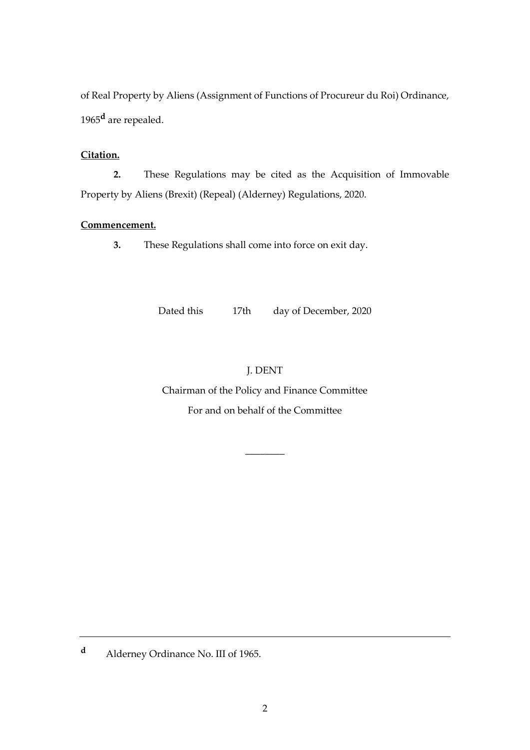of Real Property by Aliens (Assignment of Functions of Procureur du Roi) Ordinance, 1965**<sup>d</sup>** are repealed.

### **Citation.**

**2.** These Regulations may be cited as the Acquisition of Immovable Property by Aliens (Brexit) (Repeal) (Alderney) Regulations, 2020.

### **Commencement.**

**3.** These Regulations shall come into force on exit day.

Dated this 17th day of December, 2020

## J. DENT

Chairman of the Policy and Finance Committee For and on behalf of the Committee

\_\_\_\_\_\_\_\_

**<sup>d</sup>** Alderney Ordinance No. III of 1965.